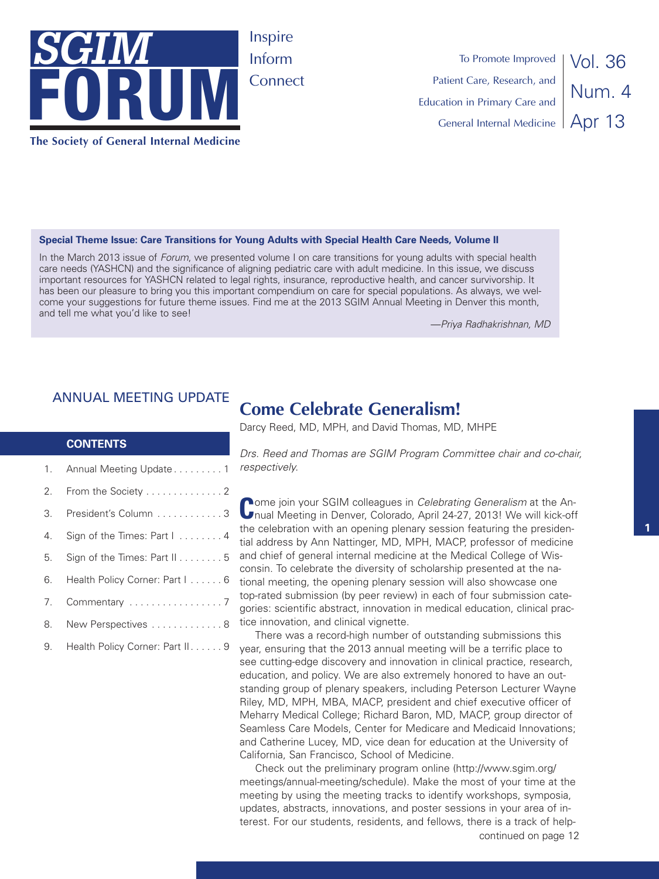

Vol. 36 Num. 4 Apr 13 To Promote Improved Patient Care, Research, and Education in Primary Care and General Internal Medicine

### **Special Theme Issue: Care Transitions for Young Adults with Special Health Care Needs, Volume II**

In the March 2013 issue of *Forum*, we presented volume I on care transitions for young adults with special health care needs (YASHCN) and the significance of aligning pediatric care with adult medicine. In this issue, we discuss important resources for YASHCN related to legal rights, insurance, reproductive health, and cancer survivorship. It has been our pleasure to bring you this important compendium on care for special populations. As always, we welcome your suggestions for future theme issues. Find me at the 2013 SGIM Annual Meeting in Denver this month, and tell me what you'd like to see!

—*Priya Radhakrishnan, MD*

### ANNUAL MEETING UPDATE

### **CONTENTS**

|    | 1. Annual Meeting Update 1        |
|----|-----------------------------------|
| 2. | From the Society 2                |
| 3. | President's Column 3              |
| 4. | Sign of the Times: Part I 4       |
| 5. | Sign of the Times: Part II 5      |
|    | 6. Health Policy Corner: Part I 6 |
| 7. |                                   |
|    | 8. New Perspectives 8             |

9. Health Policy Corner: Part II. . . . . . 9

# **Come Celebrate Generalism!**

Darcy Reed, MD, MPH, and David Thomas, MD, MHPE

*Drs. Reed and Thomas are SGIM Program Committee chair and co-chair, respectively.*

**C**ome join your SGIM colleagues in *Celebrating Generalism* at the An-nual Meeting in Denver, Colorado, April 24-27, 2013! We will kick-off the celebration with an opening plenary session featuring the presidential address by Ann Nattinger, MD, MPH, MACP, professor of medicine and chief of general internal medicine at the Medical College of Wisconsin. To celebrate the diversity of scholarship presented at the national meeting, the opening plenary session will also showcase one top-rated submission (by peer review) in each of four submission categories: scientific abstract, innovation in medical education, clinical practice innovation, and clinical vignette.

There was a record-high number of outstanding submissions this year, ensuring that the 2013 annual meeting will be a terrific place to see cutting-edge discovery and innovation in clinical practice, research, education, and policy. We are also extremely honored to have an outstanding group of plenary speakers, including Peterson Lecturer Wayne Riley, MD, MPH, MBA, MACP, president and chief executive officer of Meharry Medical College; Richard Baron, MD, MACP, group director of Seamless Care Models, Center for Medicare and Medicaid Innovations; and Catherine Lucey, MD, vice dean for education at the University of California, San Francisco, School of Medicine.

continued on page 12 Check out the preliminary program online (http://www.sgim.org/ meetings/annual-meeting/schedule). Make the most of your time at the meeting by using the meeting tracks to identify workshops, symposia, updates, abstracts, innovations, and poster sessions in your area of interest. For our students, residents, and fellows, there is a track of help-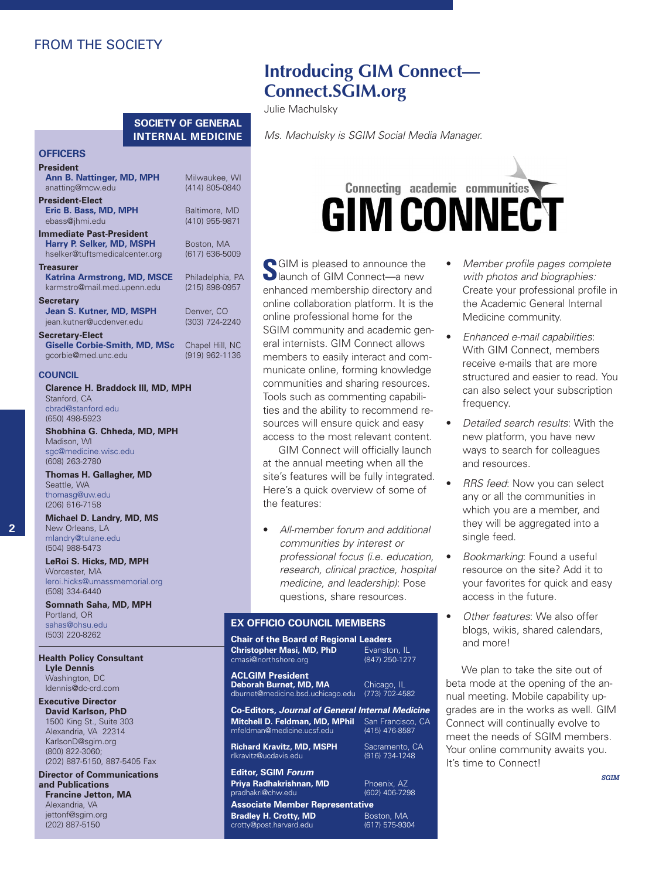# FROM THE SOCIETY

### **SOCIETY OF GENERAL INTERNAL MEDICINE**

#### **OFFICERS President**

| .<br>Ann B. Nattinger, MD, MPH<br>anatting@mcw.edu                                      | Milwaukee, WI<br>(414) 805-0840    |
|-----------------------------------------------------------------------------------------|------------------------------------|
| <b>President-Elect</b><br>Eric B. Bass, MD, MPH<br>ebass@jhmi.edu                       | Baltimore, MD<br>(410) 955-9871    |
| Immediate Past-President<br>Harry P. Selker, MD, MSPH<br>hselker@tuftsmedicalcenter.org | Boston, MA<br>(617) 636-5009       |
| Treasurer<br><b>Katrina Armstrong, MD, MSCE</b><br>karmstro@mail.med.upenn.edu          | Philadelphia, PA<br>(215) 898-0957 |
| Secretary<br>Jean S. Kutner, MD, MSPH<br>jean.kutner@ucdenver.edu                       | Denver, CO<br>(303) 724-2240       |
| <b>Secretary-Elect</b><br><b>Giselle Corbie-Smith, MD, MSc</b><br>gcorbie@med.unc.edu   | Chapel Hill, NC<br>(919) 962-1136  |

### **COUNCIL**

**Clarence H. Braddock III, MD, MPH** Stanford, CA cbrad@stanford.edu (650) 498-5923

**Shobhina G. Chheda, MD, MPH** Madison, WI sgc@medicine.wisc.edu (608) 263-2780

**Thomas H. Gallagher, MD** Seattle, WA thomasg@uw.edu (206) 616-7158

#### **Michael D. Landry, MD, MS** New Orleans, LA mlandry@tulane.edu (504) 988-5473

**LeRoi S. Hicks, MD, MPH** Worcester, MA leroi.hicks@umassmemorial.org (508) 334-6440

**Somnath Saha, MD, MPH** Portland, OR sahas@ohsu.edu (503) 220-8262

#### **Health Policy Consultant Lyle Dennis** Washington, DC

ldennis@dc-crd.com **Executive Director David Karlson, PhD** 1500 King St., Suite 303 Alexandria, VA 22314 KarlsonD@sgim.org

(800) 822-3060; (202) 887-5150, 887-5405 Fax **Director of Communications**

**and Publications Francine Jetton, MA** Alexandria, VA jettonf@sgim.org (202) 887-5150

# **Introducing GIM Connect— Connect.SGIM.org**

Julie Machulsky

*Ms. Machulsky is SGIM Social Media Manager.*

# **Connecting academic communities GIM CONNECT**

**S**GIM is pleased to announce the launch of GIM Connect—a new enhanced membership directory and online collaboration platform. It is the online professional home for the SGIM community and academic general internists. GIM Connect allows members to easily interact and communicate online, forming knowledge communities and sharing resources. Tools such as commenting capabilities and the ability to recommend resources will ensure quick and easy access to the most relevant content.

GIM Connect will officially launch at the annual meeting when all the site's features will be fully integrated. Here's a quick overview of some of the features:

• *All-member forum and additional communities by interest or professional focus (i.e. education, research, clinical practice, hospital medicine, and leadership)*: Pose questions, share resources.

### **EX OFFICIO COUNCIL MEMBERS**

#### **Chair of the Board of Regional Leaders Christopher Masi, MD, PhD** Evanston, IL cmasi@northshore.org

**ACLGIM President Deborah Burnet, MD, MA** Chicago, IL dburnet@medicine.bsd.uchicago.edu (773) 702-4582

mfeldman@medicine.ucsf.edu

rlkravitz@ucdavis.edu

pradhakri@chw.edu

crotty@post.harvard.edu

**Co-Editors,** *Journal of General Internal Medicine* **Mitchell D. Feldman, MD, MPhil** San Francisco, CA

**Richard Kravitz, MD, MSPH** Sacramento, CA<br>
rlkravitz@ucdavis.edu (916) 734-1248

*with photos and biographies:* Create your professional profile in the Academic General Internal Medicine community. • *Enhanced e-mail capabilities*:

• *Member profile pages complete*

- With GIM Connect, members receive e-mails that are more structured and easier to read. You can also select your subscription frequency.
- *Detailed search results*: With the new platform, you have new ways to search for colleagues and resources.
- *RRS feed*: Now you can select any or all the communities in which you are a member, and they will be aggregated into a single feed.
- *Bookmarking*: Found a useful resource on the site? Add it to your favorites for quick and easy access in the future.
- *Other features*: We also offer blogs, wikis, shared calendars, and more!

We plan to take the site out of beta mode at the opening of the annual meeting. Mobile capability upgrades are in the works as well. GIM Connect will continually evolve to meet the needs of SGIM members. Your online community awaits you. It's time to Connect!

*SGIM*

# **Editor, SGIM** *Forum* **Priya Radhakrishnan, MD** Phoenix, AZ<br>pradhakri@chw.edu (602) 406-7298 **Associate Member Representative**

**Bradley H. Crotty, MD** Boston, MA<br>
crotty@post.harvard.edu (617) 575-9304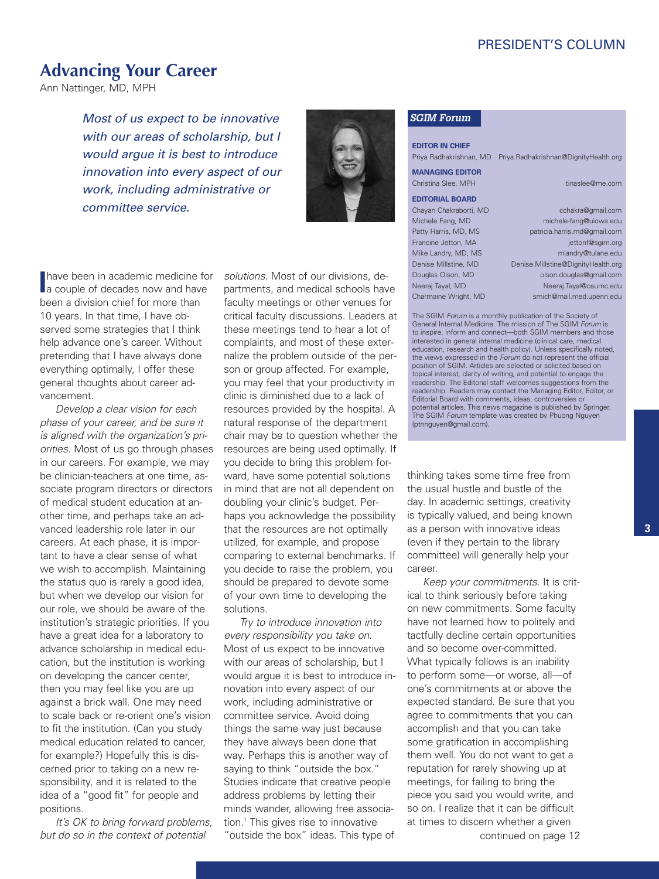# PRESIDENT'S COLUMN

# **Advancing Your Career**

Ann Nattinger, MD, MPH

*Most of us expect to be innovative with our areas of scholarship, but I would argue it is best to introduce innovation into every aspect of our work, including administrative or committee service.*



**I** a couple of decades now and have have been in academic medicine for been a division chief for more than 10 years. In that time, I have observed some strategies that I think help advance one's career. Without pretending that I have always done everything optimally, I offer these general thoughts about career advancement.

*Develop a clear vision for each phase of your career, and be sure it is aligned with the organization's priorities*. Most of us go through phases in our careers. For example, we may be clinician-teachers at one time, associate program directors or directors of medical student education at another time, and perhaps take an advanced leadership role later in our careers. At each phase, it is important to have a clear sense of what we wish to accomplish. Maintaining the status quo is rarely a good idea, but when we develop our vision for our role, we should be aware of the institution's strategic priorities. If you have a great idea for a laboratory to advance scholarship in medical education, but the institution is working on developing the cancer center, then you may feel like you are up against a brick wall. One may need to scale back or re-orient one's vision to fit the institution. (Can you study medical education related to cancer, for example?) Hopefully this is discerned prior to taking on a new responsibility, and it is related to the idea of a "good fit" for people and positions.

*It's OK to bring forward problems, but do so in the context of potential*

*solutions*. Most of our divisions, departments, and medical schools have faculty meetings or other venues for critical faculty discussions. Leaders at these meetings tend to hear a lot of complaints, and most of these externalize the problem outside of the person or group affected. For example, you may feel that your productivity in clinic is diminished due to a lack of resources provided by the hospital. A natural response of the department chair may be to question whether the resources are being used optimally. If you decide to bring this problem forward, have some potential solutions in mind that are not all dependent on doubling your clinic's budget. Perhaps you acknowledge the possibility that the resources are not optimally utilized, for example, and propose comparing to external benchmarks. If you decide to raise the problem, you should be prepared to devote some of your own time to developing the solutions.

*Try to introduce innovation into every responsibility you take on*. Most of us expect to be innovative with our areas of scholarship, but I would argue it is best to introduce innovation into every aspect of our work, including administrative or committee service. Avoid doing things the same way just because they have always been done that way. Perhaps this is another way of saying to think "outside the box." Studies indicate that creative people address problems by letting their minds wander, allowing free association. <sup>1</sup> This gives rise to innovative "outside the box" ideas. This type of

#### *SGIM Forum*

**EDITOR IN CHIEF** Priya Radhakrishnan, MD Priya.Radhakrishnan@DignityHealth.org

# **MANAGING EDITOR**

**EDITORIAL BOARD**

Christina Slee, MPH tinaslee@me.com

Chayan Chakraborti, MD cchakra@gmail.com Michele Fang, MD michele-fang@uiowa.edu Patty Harris, MD, MS patricia.harris.md@gmail.com Francine Jetton, MA jettonf@sqim.org Mike Landry, MD, MS mlandry@tulane.edu Denise Millstine, MD Denise.Millstine@DignityHealth.org Douglas Olson, MD olson.douglas@gmail.com Neeraj Tayal, MD Neeraj.Tayal@osumc.edu Charmaine Wright, MD smich@mail.med.upenn.edu

The SGIM *Forum* is a monthly publication of the Society of General Internal Medicine. The mission of The SGIM *Forum* is to inspire, inform and connect—both SGIM members and those interested in general internal medicine (clinical care, medical education, research and health policy). Unless specifically noted, the views expressed in the *Forum* do not represent the official position of SGIM. Articles are selected or solicited based on topical interest, clarity of writing, and potential to engage the readership. The Editorial staff welcomes suggestions from the readership. Readers may contact the Managing Editor, Editor, or Editorial Board with comments, ideas, controversies or potential articles. This news magazine is published by Springer. The SGIM *Forum* template was created by Phuong Nguyen (ptnnguyen@gmail.com).

thinking takes some time free from the usual hustle and bustle of the day. In academic settings, creativity is typically valued, and being known as a person with innovative ideas (even if they pertain to the library committee) will generally help your career.

continued on page 12 *Keep your commitments*. It is critical to think seriously before taking on new commitments. Some faculty have not learned how to politely and tactfully decline certain opportunities and so become over-committed. What typically follows is an inability to perform some—or worse, all—of one's commitments at or above the expected standard. Be sure that you agree to commitments that you can accomplish and that you can take some gratification in accomplishing them well. You do not want to get a reputation for rarely showing up at meetings, for failing to bring the piece you said you would write, and so on. I realize that it can be difficult at times to discern whether a given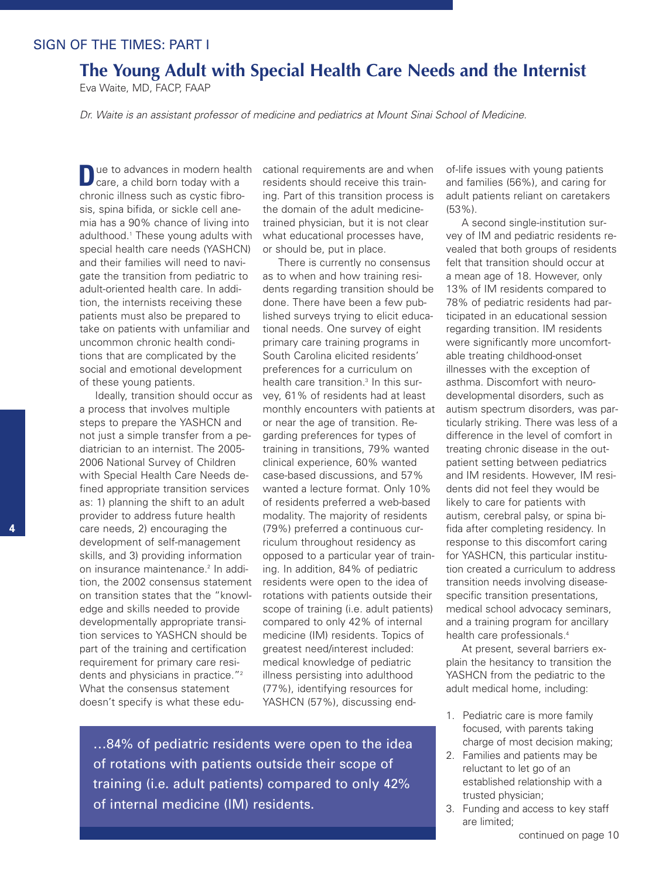# SIGN OF THE TIMES: PART I

# **The Young Adult with Special Health Care Needs and the Internist**

Eva Waite, MD, FACP, FAAP

*Dr. Waite is an assistant professor of medicine and pediatrics at Mount Sinai School of Medicine.*

**D**ue to advances in modern health care, a child born today with a chronic illness such as cystic fibrosis, spina bifida, or sickle cell anemia has a 90% chance of living into adulthood. <sup>1</sup> These young adults with special health care needs (YASHCN) and their families will need to navigate the transition from pediatric to adult-oriented health care. In addition, the internists receiving these patients must also be prepared to take on patients with unfamiliar and uncommon chronic health conditions that are complicated by the social and emotional development of these young patients.

Ideally, transition should occur as a process that involves multiple steps to prepare the YASHCN and not just a simple transfer from a pediatrician to an internist. The 2005- 2006 National Survey of Children with Special Health Care Needs defined appropriate transition services as: 1) planning the shift to an adult provider to address future health care needs, 2) encouraging the development of self-management skills, and 3) providing information on insurance maintenance. <sup>2</sup> In addition, the 2002 consensus statement on transition states that the "knowledge and skills needed to provide developmentally appropriate transition services to YASHCN should be part of the training and certification requirement for primary care residents and physicians in practice."2 What the consensus statement doesn't specify is what these educational requirements are and when residents should receive this training. Part of this transition process is the domain of the adult medicinetrained physician, but it is not clear what educational processes have, or should be, put in place.

There is currently no consensus as to when and how training residents regarding transition should be done. There have been a few published surveys trying to elicit educational needs. One survey of eight primary care training programs in South Carolina elicited residents' preferences for a curriculum on health care transition. <sup>3</sup> In this survey, 61% of residents had at least monthly encounters with patients at or near the age of transition. Regarding preferences for types of training in transitions, 79% wanted clinical experience, 60% wanted case-based discussions, and 57% wanted a lecture format. Only 10% of residents preferred a web-based modality. The majority of residents (79%) preferred a continuous curriculum throughout residency as opposed to a particular year of training. In addition, 84% of pediatric residents were open to the idea of rotations with patients outside their scope of training (i.e. adult patients) compared to only 42% of internal medicine (IM) residents. Topics of greatest need/interest included: medical knowledge of pediatric illness persisting into adulthood (77%), identifying resources for YASHCN (57%), discussing end-

…84% of pediatric residents were open to the idea of rotations with patients outside their scope of training (i.e. adult patients) compared to only 42% of internal medicine (IM) residents.

of-life issues with young patients and families (56%), and caring for adult patients reliant on caretakers (53%).

A second single-institution survey of IM and pediatric residents revealed that both groups of residents felt that transition should occur at a mean age of 18. However, only 13% of IM residents compared to 78% of pediatric residents had participated in an educational session regarding transition. IM residents were significantly more uncomfortable treating childhood-onset illnesses with the exception of asthma. Discomfort with neurodevelopmental disorders, such as autism spectrum disorders, was particularly striking. There was less of a difference in the level of comfort in treating chronic disease in the outpatient setting between pediatrics and IM residents. However, IM residents did not feel they would be likely to care for patients with autism, cerebral palsy, or spina bifida after completing residency. In response to this discomfort caring for YASHCN, this particular institution created a curriculum to address transition needs involving diseasespecific transition presentations, medical school advocacy seminars, and a training program for ancillary health care professionals. 4

At present, several barriers explain the hesitancy to transition the YASHCN from the pediatric to the adult medical home, including:

- 1. Pediatric care is more family focused, with parents taking charge of most decision making;
- 2. Families and patients may be reluctant to let go of an established relationship with a trusted physician;
- 3. Funding and access to key staff are limited;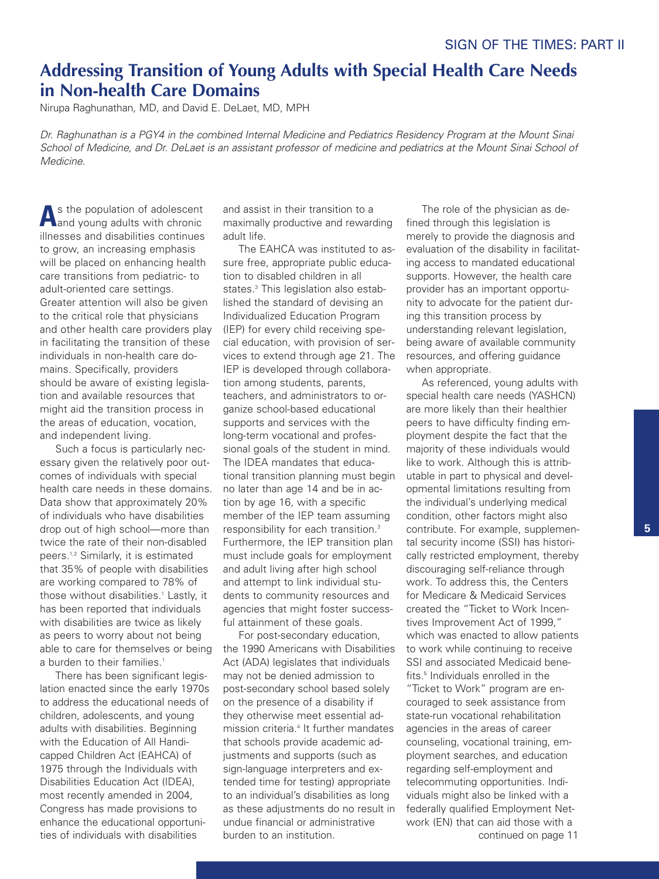# **Addressing Transition of Young Adults with Special Health Care Needs in Non-health Care Domains**

Nirupa Raghunathan, MD, and David E. DeLaet, MD, MPH

Dr. Raghunathan is a PGY4 in the combined Internal Medicine and Pediatrics Residency Program at the Mount Sinai School of Medicine, and Dr. DeLaet is an assistant professor of medicine and pediatrics at the Mount Sinai School of *Medicine.*

**A**<sup>s</sup> the population of adolescent and young adults with chronic illnesses and disabilities continues to grow, an increasing emphasis will be placed on enhancing health care transitions from pediatric- to adult-oriented care settings. Greater attention will also be given to the critical role that physicians and other health care providers play in facilitating the transition of these individuals in non-health care domains. Specifically, providers should be aware of existing legislation and available resources that might aid the transition process in the areas of education, vocation, and independent living.

Such a focus is particularly necessary given the relatively poor outcomes of individuals with special health care needs in these domains. Data show that approximately 20% of individuals who have disabilities drop out of high school—more than twice the rate of their non-disabled peers. 1,2 Similarly, it is estimated that 35% of people with disabilities are working compared to 78% of those without disabilities. <sup>1</sup> Lastly, it has been reported that individuals with disabilities are twice as likely as peers to worry about not being able to care for themselves or being a burden to their families. 1

There has been significant legislation enacted since the early 1970s to address the educational needs of children, adolescents, and young adults with disabilities. Beginning with the Education of All Handicapped Children Act (EAHCA) of 1975 through the Individuals with Disabilities Education Act (IDEA), most recently amended in 2004, Congress has made provisions to enhance the educational opportunities of individuals with disabilities

and assist in their transition to a maximally productive and rewarding adult life.

The EAHCA was instituted to assure free, appropriate public education to disabled children in all states. <sup>3</sup> This legislation also established the standard of devising an Individualized Education Program (IEP) for every child receiving special education, with provision of services to extend through age 21. The IEP is developed through collaboration among students, parents, teachers, and administrators to organize school-based educational supports and services with the long-term vocational and professional goals of the student in mind. The IDEA mandates that educational transition planning must begin no later than age 14 and be in action by age 16, with a specific member of the IEP team assuming responsibility for each transition. 3 Furthermore, the IEP transition plan must include goals for employment and adult living after high school and attempt to link individual students to community resources and agencies that might foster successful attainment of these goals.

For post-secondary education, the 1990 Americans with Disabilities Act (ADA) legislates that individuals may not be denied admission to post-secondary school based solely on the presence of a disability if they otherwise meet essential admission criteria. <sup>4</sup> It further mandates that schools provide academic adjustments and supports (such as sign-language interpreters and extended time for testing) appropriate to an individual's disabilities as long as these adjustments do no result in undue financial or administrative burden to an institution.

The role of the physician as defined through this legislation is merely to provide the diagnosis and evaluation of the disability in facilitating access to mandated educational supports. However, the health care provider has an important opportunity to advocate for the patient during this transition process by understanding relevant legislation, being aware of available community resources, and offering guidance when appropriate.

As referenced, young adults with special health care needs (YASHCN) are more likely than their healthier peers to have difficulty finding employment despite the fact that the majority of these individuals would like to work. Although this is attributable in part to physical and developmental limitations resulting from the individual's underlying medical condition, other factors might also contribute. For example, supplemental security income (SSI) has historically restricted employment, thereby discouraging self-reliance through work. To address this, the Centers for Medicare & Medicaid Services created the "Ticket to Work Incentives Improvement Act of 1999," which was enacted to allow patients to work while continuing to receive SSI and associated Medicaid benefits. <sup>5</sup> Individuals enrolled in the "Ticket to Work" program are encouraged to seek assistance from state-run vocational rehabilitation agencies in the areas of career counseling, vocational training, employment searches, and education regarding self-employment and telecommuting opportunities. Individuals might also be linked with a federally qualified Employment Network (EN) that can aid those with a continued on page 11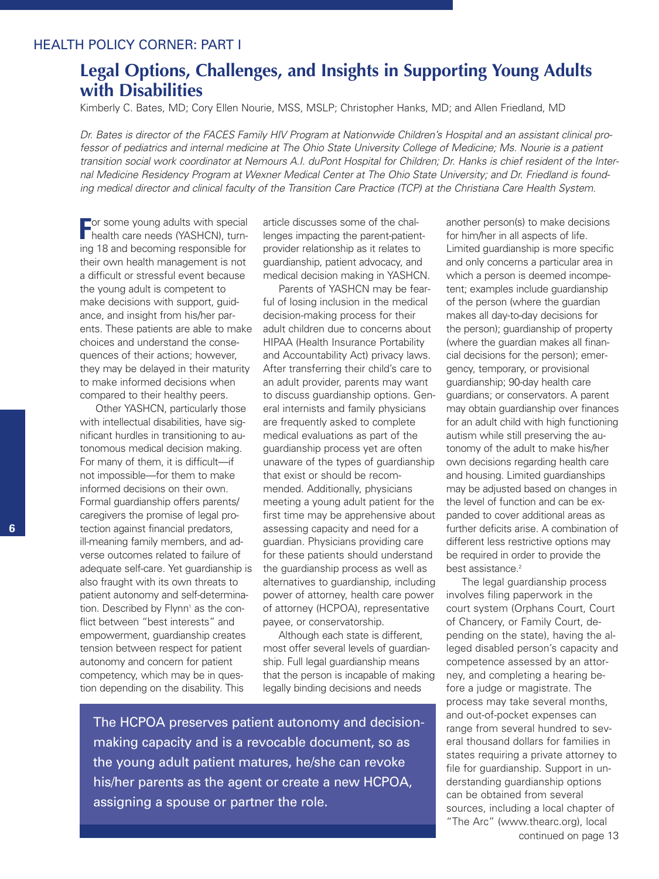# HEALTH POLICY CORNER: PART I

# **Legal Options, Challenges, and Insights in Supporting Young Adults with Disabilities**

Kimberly C. Bates, MD; Cory Ellen Nourie, MSS, MSLP; Christopher Hanks, MD; and Allen Friedland, MD

Dr. Bates is director of the FACES Family HIV Program at Nationwide Children's Hospital and an assistant clinical professor of pediatrics and internal medicine at The Ohio State University College of Medicine; Ms. Nourie is a patient transition social work coordinator at Nemours A.I. duPont Hospital for Children; Dr. Hanks is chief resident of the Internal Medicine Residency Program at Wexner Medical Center at The Ohio State University; and Dr. Friedland is founding medical director and clinical faculty of the Transition Care Practice (TCP) at the Christiana Care Health System.

**For some young adults with special<br>
<b>F** health care needs (YASHCN), turnhealth care needs (YASHCN), turning 18 and becoming responsible for their own health management is not a difficult or stressful event because the young adult is competent to make decisions with support, guidance, and insight from his/her parents. These patients are able to make choices and understand the consequences of their actions; however, they may be delayed in their maturity to make informed decisions when compared to their healthy peers.

Other YASHCN, particularly those with intellectual disabilities, have significant hurdles in transitioning to autonomous medical decision making. For many of them, it is difficult—if not impossible—for them to make informed decisions on their own. Formal guardianship offers parents/ caregivers the promise of legal protection against financial predators, ill-meaning family members, and adverse outcomes related to failure of adequate self-care. Yet guardianship is also fraught with its own threats to patient autonomy and self-determination. Described by Flynn<sup>1</sup> as the conflict between "best interests" and empowerment, guardianship creates tension between respect for patient autonomy and concern for patient competency, which may be in question depending on the disability. This

article discusses some of the challenges impacting the parent-patientprovider relationship as it relates to guardianship, patient advocacy, and medical decision making in YASHCN.

Parents of YASHCN may be fearful of losing inclusion in the medical decision-making process for their adult children due to concerns about HIPAA (Health Insurance Portability and Accountability Act) privacy laws. After transferring their child's care to an adult provider, parents may want to discuss guardianship options. General internists and family physicians are frequently asked to complete medical evaluations as part of the guardianship process yet are often unaware of the types of guardianship that exist or should be recommended. Additionally, physicians meeting a young adult patient for the first time may be apprehensive about assessing capacity and need for a guardian. Physicians providing care for these patients should understand the guardianship process as well as alternatives to guardianship, including power of attorney, health care power of attorney (HCPOA), representative payee, or conservatorship.

Although each state is different, most offer several levels of guardianship. Full legal guardianship means that the person is incapable of making legally binding decisions and needs

The HCPOA preserves patient autonomy and decisionmaking capacity and is a revocable document, so as the young adult patient matures, he/she can revoke his/her parents as the agent or create a new HCPOA, assigning a spouse or partner the role.

another person(s) to make decisions for him/her in all aspects of life. Limited guardianship is more specific and only concerns a particular area in which a person is deemed incompetent; examples include guardianship of the person (where the guardian makes all day-to-day decisions for the person); guardianship of property (where the guardian makes all financial decisions for the person); emergency, temporary, or provisional guardianship; 90-day health care guardians; or conservators. A parent may obtain guardianship over finances for an adult child with high functioning autism while still preserving the autonomy of the adult to make his/her own decisions regarding health care and housing. Limited guardianships may be adjusted based on changes in the level of function and can be expanded to cover additional areas as further deficits arise. A combination of different less restrictive options may be required in order to provide the best assistance. 2

The legal guardianship process involves filing paperwork in the court system (Orphans Court, Court of Chancery, or Family Court, depending on the state), having the alleged disabled person's capacity and competence assessed by an attorney, and completing a hearing before a judge or magistrate. The process may take several months, and out-of-pocket expenses can range from several hundred to several thousand dollars for families in states requiring a private attorney to file for guardianship. Support in understanding guardianship options can be obtained from several sources, including a local chapter of "The Arc" (www.thearc.org), local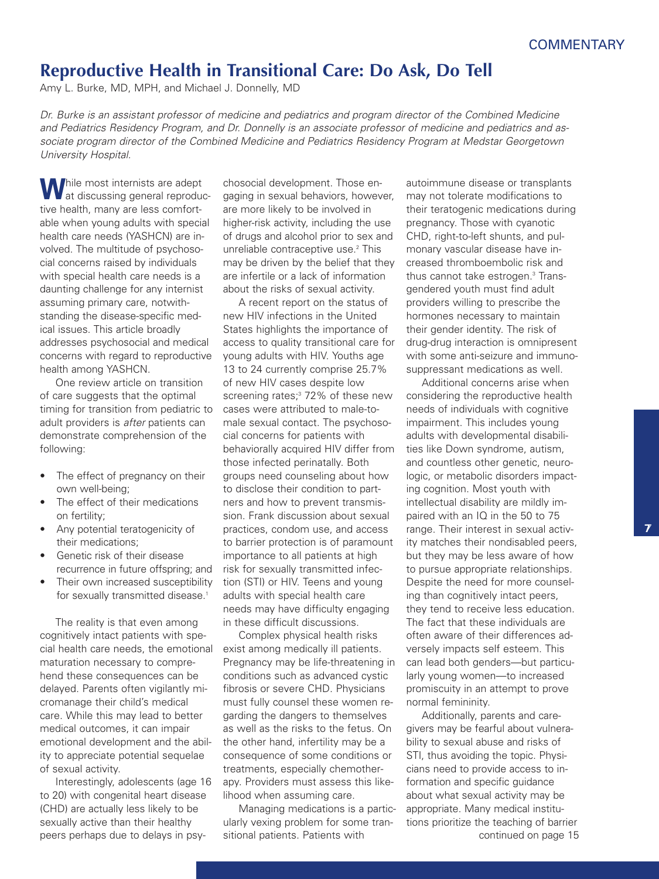# **Reproductive Health in Transitional Care: Do Ask, Do Tell**

Amy L. Burke, MD, MPH, and Michael J. Donnelly, MD

Dr. Burke is an assistant professor of medicine and pediatrics and program director of the Combined Medicine and Pediatrics Residency Program, and Dr. Donnelly is an associate professor of medicine and pediatrics and as*sociate program director of the Combined Medicine and Pediatrics Residency Program at Medstar Georgetown University Hospital.*

**While most internists are adept** at discussing general reproductive health, many are less comfortable when young adults with special health care needs (YASHCN) are involved. The multitude of psychosocial concerns raised by individuals with special health care needs is a daunting challenge for any internist assuming primary care, notwithstanding the disease-specific medical issues. This article broadly addresses psychosocial and medical concerns with regard to reproductive health among YASHCN.

One review article on transition of care suggests that the optimal timing for transition from pediatric to adult providers is *after* patients can demonstrate comprehension of the following:

- The effect of pregnancy on their own well-being;
- The effect of their medications on fertility;
- Any potential teratogenicity of their medications;
- Genetic risk of their disease recurrence in future offspring; and
- Their own increased susceptibility for sexually transmitted disease.<sup>1</sup>

The reality is that even among cognitively intact patients with special health care needs, the emotional maturation necessary to comprehend these consequences can be delayed. Parents often vigilantly micromanage their child's medical care. While this may lead to better medical outcomes, it can impair emotional development and the ability to appreciate potential sequelae of sexual activity.

Interestingly, adolescents (age 16 to 20) with congenital heart disease (CHD) are actually less likely to be sexually active than their healthy peers perhaps due to delays in psy-

chosocial development. Those engaging in sexual behaviors, however, are more likely to be involved in higher-risk activity, including the use of drugs and alcohol prior to sex and unreliable contraceptive use. <sup>2</sup> This may be driven by the belief that they are infertile or a lack of information about the risks of sexual activity.

A recent report on the status of new HIV infections in the United States highlights the importance of access to quality transitional care for young adults with HIV. Youths age 13 to 24 currently comprise 25.7% of new HIV cases despite low screening rates; <sup>3</sup> 72% of these new cases were attributed to male-tomale sexual contact. The psychosocial concerns for patients with behaviorally acquired HIV differ from those infected perinatally. Both groups need counseling about how to disclose their condition to partners and how to prevent transmission. Frank discussion about sexual practices, condom use, and access to barrier protection is of paramount importance to all patients at high risk for sexually transmitted infection (STI) or HIV. Teens and young adults with special health care needs may have difficulty engaging in these difficult discussions.

Complex physical health risks exist among medically ill patients. Pregnancy may be life-threatening in conditions such as advanced cystic fibrosis or severe CHD. Physicians must fully counsel these women regarding the dangers to themselves as well as the risks to the fetus. On the other hand, infertility may be a consequence of some conditions or treatments, especially chemotherapy. Providers must assess this likelihood when assuming care.

Managing medications is a particularly vexing problem for some transitional patients. Patients with

autoimmune disease or transplants may not tolerate modifications to their teratogenic medications during pregnancy. Those with cyanotic CHD, right-to-left shunts, and pulmonary vascular disease have increased thromboembolic risk and thus cannot take estrogen. <sup>3</sup> Transgendered youth must find adult providers willing to prescribe the hormones necessary to maintain their gender identity. The risk of drug-drug interaction is omnipresent with some anti-seizure and immunosuppressant medications as well.

Additional concerns arise when considering the reproductive health needs of individuals with cognitive impairment. This includes young adults with developmental disabilities like Down syndrome, autism, and countless other genetic, neurologic, or metabolic disorders impacting cognition. Most youth with intellectual disability are mildly impaired with an IQ in the 50 to 75 range. Their interest in sexual activity matches their nondisabled peers, but they may be less aware of how to pursue appropriate relationships. Despite the need for more counseling than cognitively intact peers, they tend to receive less education. The fact that these individuals are often aware of their differences adversely impacts self esteem. This can lead both genders—but particularly young women—to increased promiscuity in an attempt to prove normal femininity.

Additionally, parents and caregivers may be fearful about vulnerability to sexual abuse and risks of STI, thus avoiding the topic. Physicians need to provide access to information and specific guidance about what sexual activity may be appropriate. Many medical institutions prioritize the teaching of barrier continued on page 15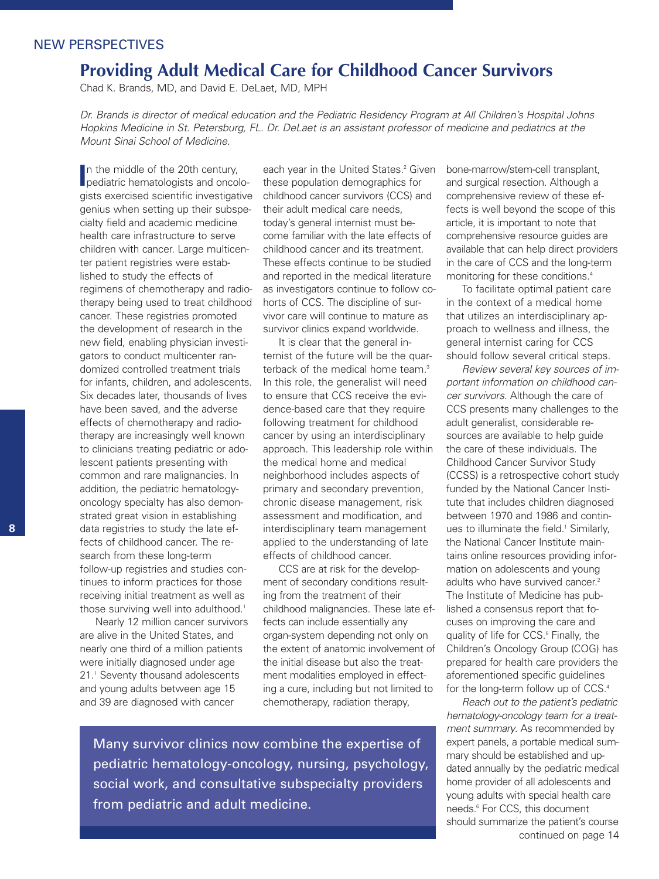# NEW PERSPECTIVES

# **Providing Adult Medical Care for Childhood Cancer Survivors**

Chad K. Brands, MD, and David E. DeLaet, MD, MPH

Dr. Brands is director of medical education and the Pediatric Residency Program at All Children's Hospital Johns Hopkins Medicine in St. Petersburg, FL. Dr. DeLaet is an assistant professor of medicine and pediatrics at the *Mount Sinai School of Medicine.*

In the middle of the 20th century,<br>
pediatric hematologists and oncolo-In the middle of the 20th century, gists exercised scientific investigative genius when setting up their subspecialty field and academic medicine health care infrastructure to serve children with cancer. Large multicenter patient registries were established to study the effects of regimens of chemotherapy and radiotherapy being used to treat childhood cancer. These registries promoted the development of research in the new field, enabling physician investigators to conduct multicenter randomized controlled treatment trials for infants, children, and adolescents. Six decades later, thousands of lives have been saved, and the adverse effects of chemotherapy and radiotherapy are increasingly well known to clinicians treating pediatric or adolescent patients presenting with common and rare malignancies. In addition, the pediatric hematologyoncology specialty has also demonstrated great vision in establishing data registries to study the late effects of childhood cancer. The research from these long-term follow-up registries and studies continues to inform practices for those receiving initial treatment as well as those surviving well into adulthood. 1

Nearly 12 million cancer survivors are alive in the United States, and nearly one third of a million patients were initially diagnosed under age 21. <sup>1</sup> Seventy thousand adolescents and young adults between age 15 and 39 are diagnosed with cancer

each year in the United States. <sup>2</sup> Given these population demographics for childhood cancer survivors (CCS) and their adult medical care needs, today's general internist must become familiar with the late effects of childhood cancer and its treatment. These effects continue to be studied and reported in the medical literature as investigators continue to follow cohorts of CCS. The discipline of survivor care will continue to mature as survivor clinics expand worldwide.

It is clear that the general internist of the future will be the quarterback of the medical home team. 3 In this role, the generalist will need to ensure that CCS receive the evidence-based care that they require following treatment for childhood cancer by using an interdisciplinary approach. This leadership role within the medical home and medical neighborhood includes aspects of primary and secondary prevention, chronic disease management, risk assessment and modification, and interdisciplinary team management applied to the understanding of late effects of childhood cancer.

CCS are at risk for the development of secondary conditions resulting from the treatment of their childhood malignancies. These late effects can include essentially any organ-system depending not only on the extent of anatomic involvement of the initial disease but also the treatment modalities employed in effecting a cure, including but not limited to chemotherapy, radiation therapy,

Many survivor clinics now combine the expertise of pediatric hematology-oncology, nursing, psychology, social work, and consultative subspecialty providers from pediatric and adult medicine.

bone-marrow/stem-cell transplant, and surgical resection. Although a comprehensive review of these effects is well beyond the scope of this article, it is important to note that comprehensive resource guides are available that can help direct providers in the care of CCS and the long-term monitoring for these conditions. 4

To facilitate optimal patient care in the context of a medical home that utilizes an interdisciplinary approach to wellness and illness, the general internist caring for CCS should follow several critical steps.

*Review several key sources of important information on childhood cancer survivors*. Although the care of CCS presents many challenges to the adult generalist, considerable resources are available to help quide the care of these individuals. The Childhood Cancer Survivor Study (CCSS) is a retrospective cohort study funded by the National Cancer Institute that includes children diagnosed between 1970 and 1986 and continues to illuminate the field. <sup>1</sup> Similarly, the National Cancer Institute maintains online resources providing information on adolescents and young adults who have survived cancer. 2 The Institute of Medicine has published a consensus report that focuses on improving the care and quality of life for CCS. <sup>5</sup> Finally, the Children's Oncology Group (COG) has prepared for health care providers the aforementioned specific guidelines for the long-term follow up of CCS. 4

*Reach out to the patient's pediatric hematology-oncology team for a treatment summary*. As recommended by expert panels, a portable medical summary should be established and updated annually by the pediatric medical home provider of all adolescents and young adults with special health care needs. <sup>6</sup> For CCS, this document should summarize the patient's course continued on page 14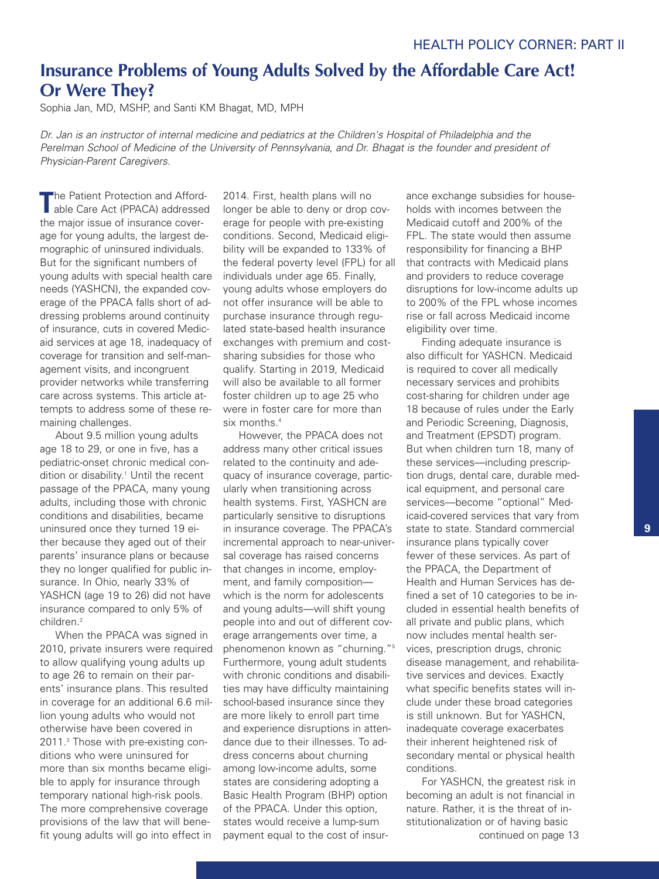# **Insurance Problems of Young Adults Solved by the Affordable Care Act! Or Were They?**

Sophia Jan, MD, MSHP, and Santi KM Bhagat, MD, MPH

Dr. Jan is an instructor of internal medicine and pediatrics at the Children's Hospital of Philadelphia and the Perelman School of Medicine of the University of Pennsylvania, and Dr. Bhagat is the founder and president of *Physician-Parent Caregivers.*

**T**he Patient Protection and Affordable Care Act (PPACA) addressed the major issue of insurance coverage for young adults, the largest demographic of uninsured individuals. But for the significant numbers of young adults with special health care needs (YASHCN), the expanded coverage of the PPACA falls short of addressing problems around continuity of insurance, cuts in covered Medicaid services at age 18, inadequacy of coverage for transition and self-management visits, and incongruent provider networks while transferring care across systems. This article attempts to address some of these remaining challenges.

About 9.5 million young adults age 18 to 29, or one in five, has a pediatric-onset chronic medical condition or disability. <sup>1</sup> Until the recent passage of the PPACA, many young adults, including those with chronic conditions and disabilities, became uninsured once they turned 19 either because they aged out of their parents' insurance plans or because they no longer qualified for public insurance. In Ohio, nearly 33% of YASHCN (age 19 to 26) did not have insurance compared to only 5% of children. 2

When the PPACA was signed in 2010, private insurers were required to allow qualifying young adults up to age 26 to remain on their parents' insurance plans. This resulted in coverage for an additional 6.6 million young adults who would not otherwise have been covered in 2011. <sup>3</sup> Those with pre-existing conditions who were uninsured for more than six months became eligible to apply for insurance through temporary national high-risk pools. The more comprehensive coverage provisions of the law that will benefit young adults will go into effect in

2014. First, health plans will no longer be able to deny or drop coverage for people with pre-existing conditions. Second, Medicaid eligibility will be expanded to 133% of the federal poverty level (FPL) for all individuals under age 65. Finally, young adults whose employers do not offer insurance will be able to purchase insurance through regulated state-based health insurance exchanges with premium and costsharing subsidies for those who qualify. Starting in 2019, Medicaid will also be available to all former foster children up to age 25 who were in foster care for more than six months. 4

However, the PPACA does not address many other critical issues related to the continuity and adequacy of insurance coverage, particularly when transitioning across health systems. First, YASHCN are particularly sensitive to disruptions in insurance coverage. The PPACA's incremental approach to near-universal coverage has raised concerns that changes in income, employment, and family composition which is the norm for adolescents and young adults—will shift young people into and out of different coverage arrangements over time, a phenomenon known as "churning."5 Furthermore, young adult students with chronic conditions and disabilities may have difficulty maintaining school-based insurance since they are more likely to enroll part time and experience disruptions in attendance due to their illnesses. To address concerns about churning among low-income adults, some states are considering adopting a Basic Health Program (BHP) option of the PPACA. Under this option, states would receive a lump-sum payment equal to the cost of insurance exchange subsidies for households with incomes between the Medicaid cutoff and 200% of the FPL. The state would then assume responsibility for financing a BHP that contracts with Medicaid plans and providers to reduce coverage disruptions for low-income adults up to 200% of the FPL whose incomes rise or fall across Medicaid income eligibility over time.

Finding adequate insurance is also difficult for YASHCN. Medicaid is required to cover all medically necessary services and prohibits cost-sharing for children under age 18 because of rules under the Early and Periodic Screening, Diagnosis, and Treatment (EPSDT) program. But when children turn 18, many of these services—including prescription drugs, dental care, durable medical equipment, and personal care services—become "optional" Medicaid-covered services that vary from state to state. Standard commercial insurance plans typically cover fewer of these services. As part of the PPACA, the Department of Health and Human Services has defined a set of 10 categories to be included in essential health benefits of all private and public plans, which now includes mental health services, prescription drugs, chronic disease management, and rehabilitative services and devices. Exactly what specific benefits states will include under these broad categories is still unknown. But for YASHCN, inadequate coverage exacerbates their inherent heightened risk of secondary mental or physical health conditions.

For YASHCN, the greatest risk in becoming an adult is not financial in nature. Rather, it is the threat of institutionalization or of having basic continued on page 13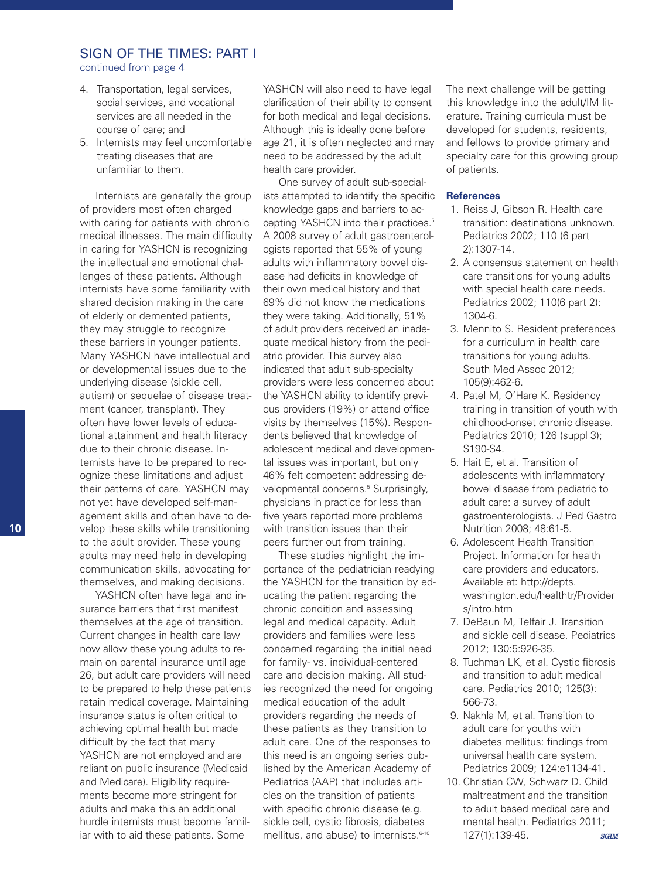### SIGN OF THE TIMES: PART I continued from page 4

- 4. Transportation, legal services, social services, and vocational services are all needed in the course of care; and
- 5. Internists may feel uncomfortable treating diseases that are unfamiliar to them.

Internists are generally the group of providers most often charged with caring for patients with chronic medical illnesses. The main difficulty in caring for YASHCN is recognizing the intellectual and emotional challenges of these patients. Although internists have some familiarity with shared decision making in the care of elderly or demented patients, they may struggle to recognize these barriers in younger patients. Many YASHCN have intellectual and or developmental issues due to the underlying disease (sickle cell, autism) or sequelae of disease treatment (cancer, transplant). They often have lower levels of educational attainment and health literacy due to their chronic disease. Internists have to be prepared to recognize these limitations and adjust their patterns of care. YASHCN may not yet have developed self-management skills and often have to develop these skills while transitioning to the adult provider. These young adults may need help in developing communication skills, advocating for themselves, and making decisions.

YASHCN often have legal and insurance barriers that first manifest themselves at the age of transition. Current changes in health care law now allow these young adults to remain on parental insurance until age 26, but adult care providers will need to be prepared to help these patients retain medical coverage. Maintaining insurance status is often critical to achieving optimal health but made difficult by the fact that many YASHCN are not employed and are reliant on public insurance (Medicaid and Medicare). Eligibility requirements become more stringent for adults and make this an additional hurdle internists must become familiar with to aid these patients. Some

YASHCN will also need to have legal clarification of their ability to consent for both medical and legal decisions. Although this is ideally done before age 21, it is often neglected and may need to be addressed by the adult health care provider.

One survey of adult sub-specialists attempted to identify the specific knowledge gaps and barriers to accepting YASHCN into their practices. 5 A 2008 survey of adult gastroenterologists reported that 55% of young adults with inflammatory bowel disease had deficits in knowledge of their own medical history and that 69% did not know the medications they were taking. Additionally, 51% of adult providers received an inadequate medical history from the pediatric provider. This survey also indicated that adult sub-specialty providers were less concerned about the YASHCN ability to identify previous providers (19%) or attend office visits by themselves (15%). Respondents believed that knowledge of adolescent medical and developmental issues was important, but only 46% felt competent addressing developmental concerns. <sup>5</sup> Surprisingly, physicians in practice for less than five years reported more problems with transition issues than their peers further out from training.

These studies highlight the importance of the pediatrician readying the YASHCN for the transition by educating the patient regarding the chronic condition and assessing legal and medical capacity. Adult providers and families were less concerned regarding the initial need for family- vs. individual-centered care and decision making. All studies recognized the need for ongoing medical education of the adult providers regarding the needs of these patients as they transition to adult care. One of the responses to this need is an ongoing series published by the American Academy of Pediatrics (AAP) that includes articles on the transition of patients with specific chronic disease (e.g. sickle cell, cystic fibrosis, diabetes mellitus, and abuse) to internists. 6-10

The next challenge will be getting this knowledge into the adult/IM literature. Training curricula must be developed for students, residents, and fellows to provide primary and specialty care for this growing group of patients.

#### **References**

- 1. Reiss J, Gibson R. Health care transition: destinations unknown. Pediatrics 2002; 110 (6 part 2):1307-14.
- 2. A consensus statement on health care transitions for young adults with special health care needs. Pediatrics 2002; 110(6 part 2): 1304-6.
- 3. Mennito S. Resident preferences for a curriculum in health care transitions for young adults. South Med Assoc 2012; 105(9):462-6.
- 4. Patel M, O'Hare K. Residency training in transition of youth with childhood-onset chronic disease. Pediatrics 2010; 126 (suppl 3); S190-S4.
- 5. Hait E, et al. Transition of adolescents with inflammatory bowel disease from pediatric to adult care: a survey of adult gastroenterologists. J Ped Gastro Nutrition 2008; 48:61-5.
- 6. Adolescent Health Transition Project. Information for health care providers and educators. Available at: http://depts. washington.edu/healthtr/Provider s/intro.htm
- 7. DeBaun M, Telfair J. Transition and sickle cell disease. Pediatrics 2012; 130:5:926-35.
- 8. Tuchman LK, et al. Cystic fibrosis and transition to adult medical care. Pediatrics 2010; 125(3): 566-73.
- 9. Nakhla M, et al. Transition to adult care for youths with diabetes mellitus: findings from universal health care system. Pediatrics 2009; 124:e1134-41.
- 10. Christian CW, Schwarz D. Child maltreatment and the transition to adult based medical care and mental health. Pediatrics 2011; 127(1):139-45. *SGIM*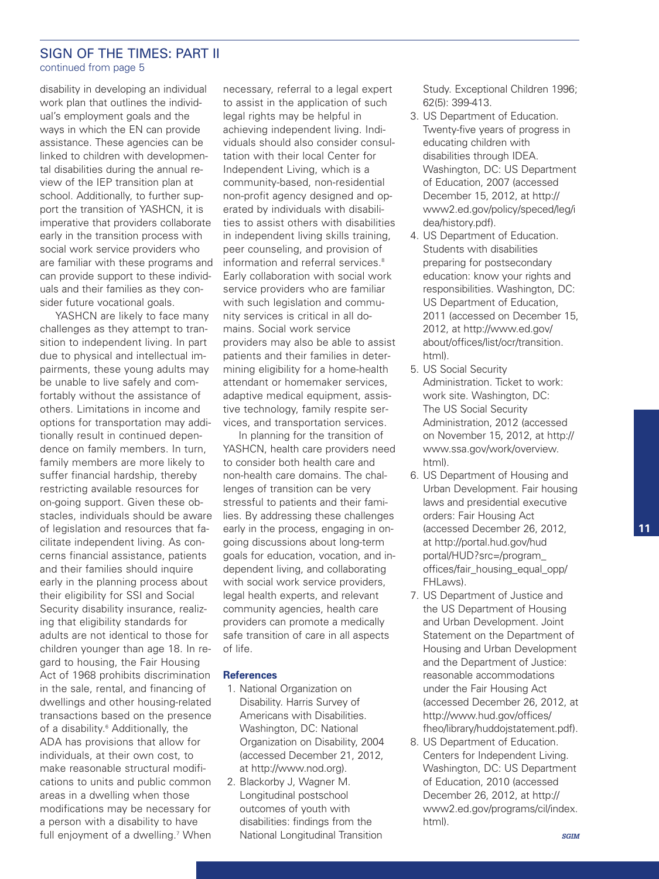### SIGN OF THE TIMES: PART II continued from page 5

disability in developing an individual work plan that outlines the individual's employment goals and the ways in which the EN can provide assistance. These agencies can be linked to children with developmental disabilities during the annual review of the IEP transition plan at school. Additionally, to further support the transition of YASHCN, it is imperative that providers collaborate early in the transition process with social work service providers who are familiar with these programs and can provide support to these individuals and their families as they consider future vocational goals.

YASHCN are likely to face many challenges as they attempt to transition to independent living. In part due to physical and intellectual impairments, these young adults may be unable to live safely and comfortably without the assistance of others. Limitations in income and options for transportation may additionally result in continued dependence on family members. In turn, family members are more likely to suffer financial hardship, thereby restricting available resources for on-going support. Given these obstacles, individuals should be aware of legislation and resources that facilitate independent living. As concerns financial assistance, patients and their families should inquire early in the planning process about their eligibility for SSI and Social Security disability insurance, realizing that eligibility standards for adults are not identical to those for children younger than age 18. In regard to housing, the Fair Housing Act of 1968 prohibits discrimination in the sale, rental, and financing of dwellings and other housing-related transactions based on the presence of a disability. <sup>6</sup> Additionally, the ADA has provisions that allow for individuals, at their own cost, to make reasonable structural modifications to units and public common areas in a dwelling when those modifications may be necessary for a person with a disability to have full enjoyment of a dwelling. <sup>7</sup> When

necessary, referral to a legal expert to assist in the application of such legal rights may be helpful in achieving independent living. Individuals should also consider consultation with their local Center for Independent Living, which is a community-based, non-residential non-profit agency designed and operated by individuals with disabilities to assist others with disabilities in independent living skills training, peer counseling, and provision of information and referral services. 8 Early collaboration with social work service providers who are familiar with such legislation and community services is critical in all domains. Social work service providers may also be able to assist patients and their families in determining eligibility for a home-health attendant or homemaker services, adaptive medical equipment, assistive technology, family respite services, and transportation services.

In planning for the transition of YASHCN, health care providers need to consider both health care and non-health care domains. The challenges of transition can be very stressful to patients and their families. By addressing these challenges early in the process, engaging in ongoing discussions about long-term goals for education, vocation, and independent living, and collaborating with social work service providers, legal health experts, and relevant community agencies, health care providers can promote a medically safe transition of care in all aspects of life.

### **References**

- 1. National Organization on Disability. Harris Survey of Americans with Disabilities. Washington, DC: National Organization on Disability, 2004 (accessed December 21, 2012, at http://www.nod.org).
- 2. Blackorby J, Wagner M. Longitudinal postschool outcomes of youth with disabilities: findings from the National Longitudinal Transition

Study. Exceptional Children 1996; 62(5): 399-413.

- 3. US Department of Education. Twenty-five years of progress in educating children with disabilities through IDEA. Washington, DC: US Department of Education, 2007 (accessed December 15, 2012, at http:// www2.ed.gov/policy/speced/leg/i dea/history.pdf).
- 4. US Department of Education. Students with disabilities preparing for postsecondary education: know your rights and responsibilities. Washington, DC: US Department of Education, 2011 (accessed on December 15, 2012, at http://www.ed.gov/ about/offices/list/ocr/transition. html).
- 5. US Social Security Administration. Ticket to work: work site. Washington, DC: The US Social Security Administration, 2012 (accessed on November 15, 2012, at http:// www.ssa.gov/work/overview. html).
- 6. US Department of Housing and Urban Development. Fair housing laws and presidential executive orders: Fair Housing Act (accessed December 26, 2012, at http://portal.hud.gov/hud portal/HUD?src=/program\_ offices/fair\_housing\_equal\_opp/ FHLaws).
- 7. US Department of Justice and the US Department of Housing and Urban Development. Joint Statement on the Department of Housing and Urban Development and the Department of Justice: reasonable accommodations under the Fair Housing Act (accessed December 26, 2012, at http://www.hud.gov/offices/ fheo/library/huddojstatement.pdf).
- 8. US Department of Education. Centers for Independent Living. Washington, DC: US Department of Education, 2010 (accessed December 26, 2012, at http:// www2.ed.gov/programs/cil/index. html).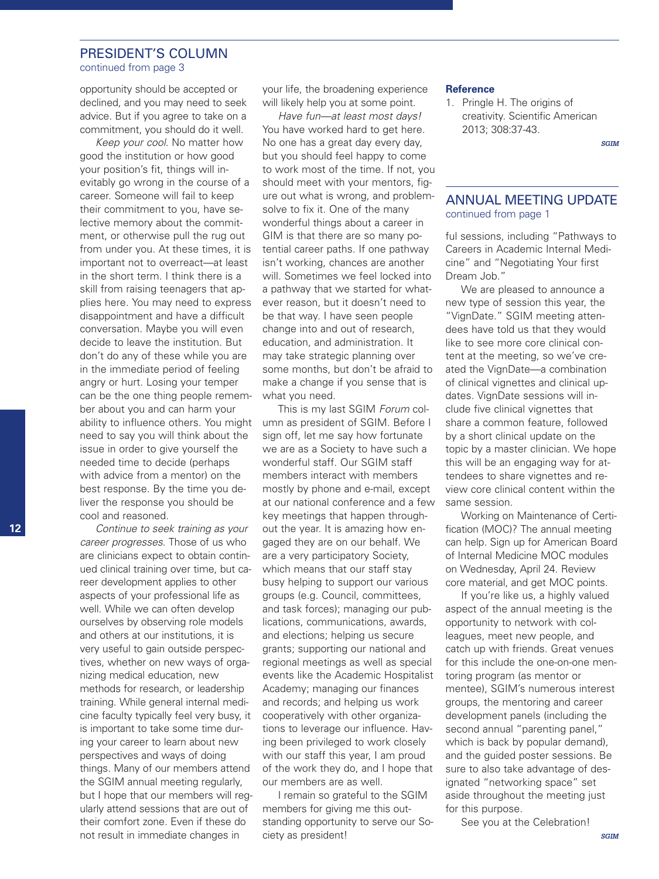### PRESIDENT'S COLUMN continued from page 3

opportunity should be accepted or declined, and you may need to seek advice. But if you agree to take on a commitment, you should do it well.

*Keep your cool*. No matter how good the institution or how good your position's fit, things will inevitably go wrong in the course of a career. Someone will fail to keep their commitment to you, have selective memory about the commitment, or otherwise pull the rug out from under you. At these times, it is important not to overreact—at least in the short term. I think there is a skill from raising teenagers that applies here. You may need to express disappointment and have a difficult conversation. Maybe you will even decide to leave the institution. But don't do any of these while you are in the immediate period of feeling angry or hurt. Losing your temper can be the one thing people remember about you and can harm your ability to influence others. You might need to say you will think about the issue in order to give yourself the needed time to decide (perhaps with advice from a mentor) on the best response. By the time you deliver the response you should be cool and reasoned.

*Continue to seek training as your career progresses*. Those of us who are clinicians expect to obtain continued clinical training over time, but career development applies to other aspects of your professional life as well. While we can often develop ourselves by observing role models and others at our institutions, it is very useful to gain outside perspectives, whether on new ways of organizing medical education, new methods for research, or leadership training. While general internal medicine faculty typically feel very busy, it is important to take some time during your career to learn about new perspectives and ways of doing things. Many of our members attend the SGIM annual meeting regularly, but I hope that our members will regularly attend sessions that are out of their comfort zone. Even if these do not result in immediate changes in

your life, the broadening experience will likely help you at some point.

*Have fun—at least most days!* You have worked hard to get here. No one has a great day every day, but you should feel happy to come to work most of the time. If not, you should meet with your mentors, figure out what is wrong, and problemsolve to fix it. One of the many wonderful things about a career in GIM is that there are so many potential career paths. If one pathway isn't working, chances are another will. Sometimes we feel locked into a pathway that we started for whatever reason, but it doesn't need to be that way. I have seen people change into and out of research, education, and administration. It may take strategic planning over some months, but don't be afraid to make a change if you sense that is what you need.

This is my last SGIM *Forum* column as president of SGIM. Before I sign off, let me say how fortunate we are as a Society to have such a wonderful staff. Our SGIM staff members interact with members mostly by phone and e-mail, except at our national conference and a few key meetings that happen throughout the year. It is amazing how engaged they are on our behalf. We are a very participatory Society, which means that our staff stay busy helping to support our various groups (e.g. Council, committees, and task forces); managing our publications, communications, awards, and elections; helping us secure grants; supporting our national and regional meetings as well as special events like the Academic Hospitalist Academy; managing our finances and records; and helping us work cooperatively with other organizations to leverage our influence. Having been privileged to work closely with our staff this year, I am proud of the work they do, and I hope that our members are as well.

I remain so grateful to the SGIM members for giving me this outstanding opportunity to serve our Society as president!

#### **Reference**

1. Pringle H. The origins of creativity. Scientific American 2013; 308:37-43.

*SGIM*

# ANNUAL MEETING UPDATE continued from page 1

ful sessions, including "Pathways to Careers in Academic Internal Medicine" and "Negotiating Your first Dream Job."

We are pleased to announce a new type of session this year, the "VignDate." SGIM meeting attendees have told us that they would like to see more core clinical content at the meeting, so we've created the VignDate—a combination of clinical vignettes and clinical updates. VignDate sessions will include five clinical vignettes that share a common feature, followed by a short clinical update on the topic by a master clinician. We hope this will be an engaging way for attendees to share vignettes and review core clinical content within the same session.

Working on Maintenance of Certification (MOC)? The annual meeting can help. Sign up for American Board of Internal Medicine MOC modules on Wednesday, April 24. Review core material, and get MOC points.

If you're like us, a highly valued aspect of the annual meeting is the opportunity to network with colleagues, meet new people, and catch up with friends. Great venues for this include the one-on-one mentoring program (as mentor or mentee), SGIM's numerous interest groups, the mentoring and career development panels (including the second annual "parenting panel," which is back by popular demand), and the guided poster sessions. Be sure to also take advantage of designated "networking space" set aside throughout the meeting just for this purpose.

See you at the Celebration!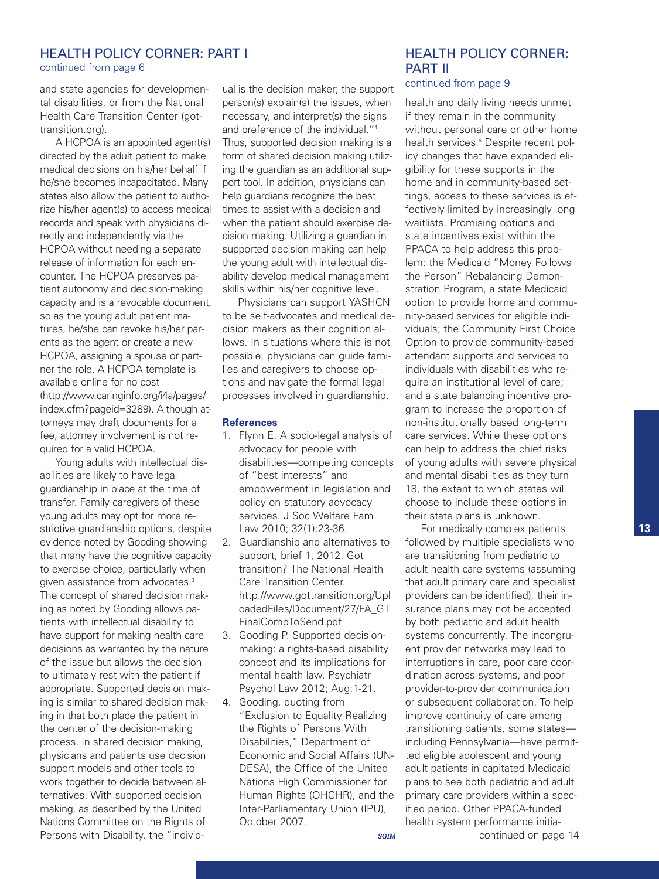# HEALTH POLICY CORNER: PART I continued from page 6

and state agencies for developmental disabilities, or from the National Health Care Transition Center (gottransition.org).

A HCPOA is an appointed agent(s) directed by the adult patient to make medical decisions on his/her behalf if he/she becomes incapacitated. Many states also allow the patient to authorize his/her agent(s) to access medical records and speak with physicians directly and independently via the HCPOA without needing a separate release of information for each encounter. The HCPOA preserves patient autonomy and decision-making capacity and is a revocable document, so as the young adult patient matures, he/she can revoke his/her parents as the agent or create a new HCPOA, assigning a spouse or partner the role. A HCPOA template is available online for no cost (http://www.caringinfo.org/i4a/pages/ index.cfm?pageid=3289). Although attorneys may draft documents for a fee, attorney involvement is not required for a valid HCPOA.

Young adults with intellectual disabilities are likely to have legal guardianship in place at the time of transfer. Family caregivers of these young adults may opt for more restrictive guardianship options, despite evidence noted by Gooding showing that many have the cognitive capacity to exercise choice, particularly when given assistance from advocates. 3 The concept of shared decision making as noted by Gooding allows patients with intellectual disability to have support for making health care decisions as warranted by the nature of the issue but allows the decision to ultimately rest with the patient if appropriate. Supported decision making is similar to shared decision making in that both place the patient in the center of the decision-making process. In shared decision making, physicians and patients use decision support models and other tools to work together to decide between alternatives. With supported decision making, as described by the United Nations Committee on the Rights of Persons with Disability, the "individual is the decision maker; the support person(s) explain(s) the issues, when necessary, and interpret(s) the signs and preference of the individual."4 Thus, supported decision making is a form of shared decision making utilizing the guardian as an additional support tool. In addition, physicians can help guardians recognize the best times to assist with a decision and when the patient should exercise decision making. Utilizing a guardian in supported decision making can help the young adult with intellectual disability develop medical management skills within his/her cognitive level.

Physicians can support YASHCN to be self-advocates and medical decision makers as their cognition allows. In situations where this is not possible, physicians can guide families and caregivers to choose options and navigate the formal legal processes involved in guardianship.

### **References**

- 1. Flynn E. A socio-legal analysis of advocacy for people with disabilities—competing concepts of "best interests" and empowerment in legislation and policy on statutory advocacy services. J Soc Welfare Fam Law 2010; 32(1):23-36.
- 2. Guardianship and alternatives to support, brief 1, 2012. Got transition? The National Health Care Transition Center. http://www.gottransition.org/Upl oadedFiles/Document/27/FA\_GT FinalCompToSend.pdf
- 3. Gooding P. Supported decisionmaking: a rights-based disability concept and its implications for mental health law. Psychiatr Psychol Law 2012; Aug:1-21.
- 4. Gooding, quoting from "Exclusion to Equality Realizing the Rights of Persons With Disabilities," Department of Economic and Social Affairs (UN-DESA), the Office of the United Nations High Commissioner for Human Rights (OHCHR), and the Inter-Parliamentary Union (IPU), October 2007.

# HEALTH POLICY CORNER: PART II

### continued from page 9

health and daily living needs unmet if they remain in the community without personal care or other home health services. <sup>6</sup> Despite recent policy changes that have expanded eligibility for these supports in the home and in community-based settings, access to these services is effectively limited by increasingly long waitlists. Promising options and state incentives exist within the PPACA to help address this problem: the Medicaid "Money Follows the Person" Rebalancing Demonstration Program, a state Medicaid option to provide home and community-based services for eligible individuals; the Community First Choice Option to provide community-based attendant supports and services to individuals with disabilities who require an institutional level of care; and a state balancing incentive program to increase the proportion of non-institutionally based long-term care services. While these options can help to address the chief risks of young adults with severe physical and mental disabilities as they turn 18, the extent to which states will choose to include these options in their state plans is unknown.

For medically complex patients followed by multiple specialists who are transitioning from pediatric to adult health care systems (assuming that adult primary care and specialist providers can be identified), their insurance plans may not be accepted by both pediatric and adult health systems concurrently. The incongruent provider networks may lead to interruptions in care, poor care coordination across systems, and poor provider-to-provider communication or subsequent collaboration. To help improve continuity of care among transitioning patients, some states including Pennsylvania—have permitted eligible adolescent and young adult patients in capitated Medicaid plans to see both pediatric and adult primary care providers within a specified period. Other PPACA-funded health system performance initiacontinued on page 14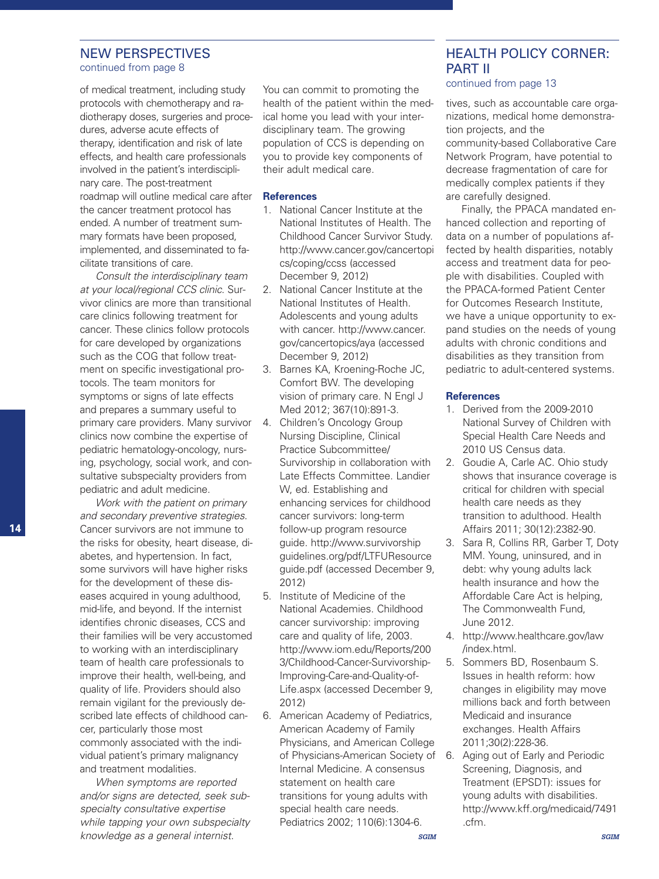# NEW PERSPECTIVES

continued from page 8

of medical treatment, including study protocols with chemotherapy and radiotherapy doses, surgeries and procedures, adverse acute effects of therapy, identification and risk of late effects, and health care professionals involved in the patient's interdisciplinary care. The post-treatment roadmap will outline medical care after the cancer treatment protocol has ended. A number of treatment summary formats have been proposed, implemented, and disseminated to facilitate transitions of care.

*Consult the interdisciplinary team at your local/regional CCS clinic*. Survivor clinics are more than transitional care clinics following treatment for cancer. These clinics follow protocols for care developed by organizations such as the COG that follow treatment on specific investigational protocols. The team monitors for symptoms or signs of late effects and prepares a summary useful to primary care providers. Many survivor clinics now combine the expertise of pediatric hematology-oncology, nursing, psychology, social work, and consultative subspecialty providers from pediatric and adult medicine.

*Work with the patient on primary and secondary preventive strategies*. Cancer survivors are not immune to the risks for obesity, heart disease, diabetes, and hypertension. In fact, some survivors will have higher risks for the development of these diseases acquired in young adulthood, mid-life, and beyond. If the internist identifies chronic diseases, CCS and their families will be very accustomed to working with an interdisciplinary team of health care professionals to improve their health, well-being, and quality of life. Providers should also remain vigilant for the previously described late effects of childhood cancer, particularly those most commonly associated with the individual patient's primary malignancy and treatment modalities.

*When symptoms are reported and/or signs are detected, seek subspecialty consultative expertise while tapping your own subspecialty knowledge as a general internist*.

You can commit to promoting the health of the patient within the medical home you lead with your interdisciplinary team. The growing population of CCS is depending on you to provide key components of their adult medical care.

### **References**

- 1. National Cancer Institute at the National Institutes of Health. The Childhood Cancer Survivor Study. http://www.cancer.gov/cancertopi cs/coping/ccss (accessed December 9, 2012)
- 2. National Cancer Institute at the National Institutes of Health. Adolescents and young adults with cancer. http://www.cancer. gov/cancertopics/aya (accessed December 9, 2012)
- 3. Barnes KA, Kroening-Roche JC, Comfort BW. The developing vision of primary care. N Engl J Med 2012; 367(10):891-3.
- 4. Children's Oncology Group Nursing Discipline, Clinical Practice Subcommittee/ Survivorship in collaboration with Late Effects Committee. Landier W, ed. Establishing and enhancing services for childhood cancer survivors: long-term follow-up program resource guide. http://www.survivorship guidelines.org/pdf/LTFUResource guide.pdf (accessed December 9, 2012)
- 5. Institute of Medicine of the National Academies. Childhood cancer survivorship: improving care and quality of life, 2003. http://www.iom.edu/Reports/200 3/Childhood-Cancer-Survivorship-Improving-Care-and-Quality-of-Life.aspx (accessed December 9, 2012)
- 6. American Academy of Pediatrics, American Academy of Family Physicians, and American College of Physicians-American Society of 6. Internal Medicine. A consensus statement on health care transitions for young adults with special health care needs. Pediatrics 2002; 110(6):1304-6.

*SGIM*

# HEALTH POLICY CORNER: PART II

continued from page 13

tives, such as accountable care organizations, medical home demonstration projects, and the community-based Collaborative Care Network Program, have potential to decrease fragmentation of care for medically complex patients if they are carefully designed.

Finally, the PPACA mandated enhanced collection and reporting of data on a number of populations affected by health disparities, notably access and treatment data for people with disabilities. Coupled with the PPACA-formed Patient Center for Outcomes Research Institute, we have a unique opportunity to expand studies on the needs of young adults with chronic conditions and disabilities as they transition from pediatric to adult-centered systems.

### **References**

- 1. Derived from the 2009-2010 National Survey of Children with Special Health Care Needs and 2010 US Census data.
- 2. Goudie A, Carle AC. Ohio study shows that insurance coverage is critical for children with special health care needs as they transition to adulthood. Health Affairs 2011; 30(12):2382-90.
- 3. Sara R, Collins RR, Garber T, Doty MM. Young, uninsured, and in debt: why young adults lack health insurance and how the Affordable Care Act is helping, The Commonwealth Fund, June 2012.
- 4. http://www.healthcare.gov/law /index.html.
- 5. Sommers BD, Rosenbaum S. Issues in health reform: how changes in eligibility may move millions back and forth between Medicaid and insurance exchanges. Health Affairs 2011;30(2):228-36.
- Aging out of Early and Periodic Screening, Diagnosis, and Treatment (EPSDT): issues for young adults with disabilities. http://www.kff.org/medicaid/7491 .cfm.

*SGIM*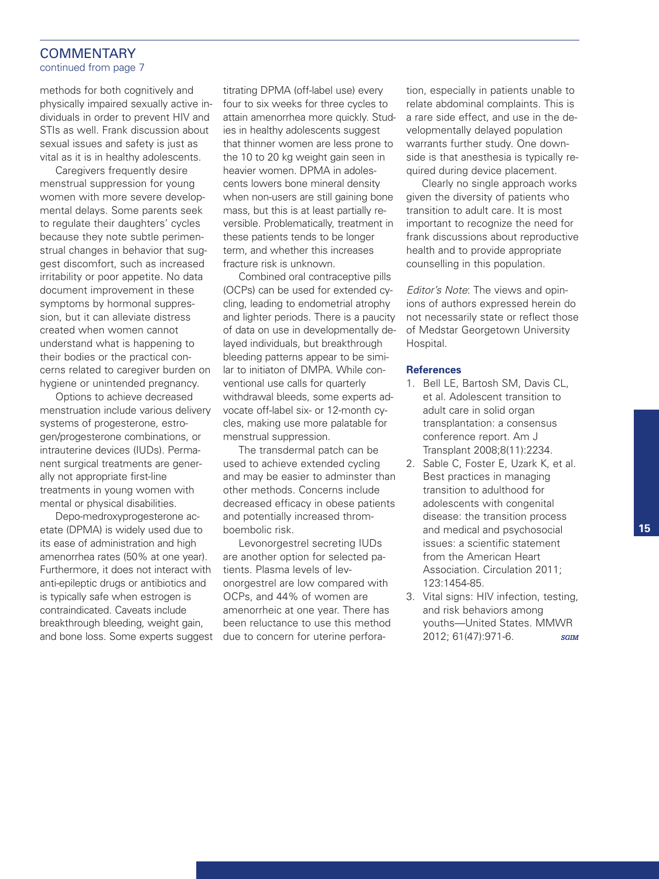# **COMMENTARY**

continued from page 7

methods for both cognitively and physically impaired sexually active individuals in order to prevent HIV and STIs as well. Frank discussion about sexual issues and safety is just as vital as it is in healthy adolescents.

Caregivers frequently desire menstrual suppression for young women with more severe developmental delays. Some parents seek to regulate their daughters' cycles because they note subtle perimenstrual changes in behavior that suggest discomfort, such as increased irritability or poor appetite. No data document improvement in these symptoms by hormonal suppression, but it can alleviate distress created when women cannot understand what is happening to their bodies or the practical concerns related to caregiver burden on hygiene or unintended pregnancy.

Options to achieve decreased menstruation include various delivery systems of progesterone, estrogen/progesterone combinations, or intrauterine devices (IUDs). Permanent surgical treatments are generally not appropriate first-line treatments in young women with mental or physical disabilities.

Depo-medroxyprogesterone acetate (DPMA) is widely used due to its ease of administration and high amenorrhea rates (50% at one year). Furthermore, it does not interact with anti-epileptic drugs or antibiotics and is typically safe when estrogen is contraindicated. Caveats include breakthrough bleeding, weight gain, and bone loss. Some experts suggest

titrating DPMA (off-label use) every four to six weeks for three cycles to attain amenorrhea more quickly. Studies in healthy adolescents suggest that thinner women are less prone to the 10 to 20 kg weight gain seen in heavier women. DPMA in adolescents lowers bone mineral density when non-users are still gaining bone mass, but this is at least partially reversible. Problematically, treatment in these patients tends to be longer term, and whether this increases fracture risk is unknown.

Combined oral contraceptive pills (OCPs) can be used for extended cycling, leading to endometrial atrophy and lighter periods. There is a paucity of data on use in developmentally delayed individuals, but breakthrough bleeding patterns appear to be similar to initiaton of DMPA. While conventional use calls for quarterly withdrawal bleeds, some experts advocate off-label six- or 12-month cycles, making use more palatable for menstrual suppression.

The transdermal patch can be used to achieve extended cycling and may be easier to adminster than other methods. Concerns include decreased efficacy in obese patients and potentially increased thromboembolic risk.

Levonorgestrel secreting IUDs are another option for selected patients. Plasma levels of levonorgestrel are low compared with OCPs, and 44% of women are amenorrheic at one year. There has been reluctance to use this method due to concern for uterine perfora-

tion, especially in patients unable to relate abdominal complaints. This is a rare side effect, and use in the developmentally delayed population warrants further study. One downside is that anesthesia is typically required during device placement.

Clearly no single approach works given the diversity of patients who transition to adult care. It is most important to recognize the need for frank discussions about reproductive health and to provide appropriate counselling in this population.

*Editor's Note*: The views and opinions of authors expressed herein do not necessarily state or reflect those of Medstar Georgetown University Hospital.

#### **References**

- 1. Bell LE, Bartosh SM, Davis CL, et al. Adolescent transition to adult care in solid organ transplantation: a consensus conference report. Am J Transplant 2008;8(11):2234.
- 2. Sable C, Foster E, Uzark K, et al. Best practices in managing transition to adulthood for adolescents with congenital disease: the transition process and medical and psychosocial issues: a scientific statement from the American Heart Association. Circulation 2011; 123:1454-85.
- 3. Vital signs: HIV infection, testing, and risk behaviors among youths—United States. MMWR 2012; 61(47):971-6. *SGIM*